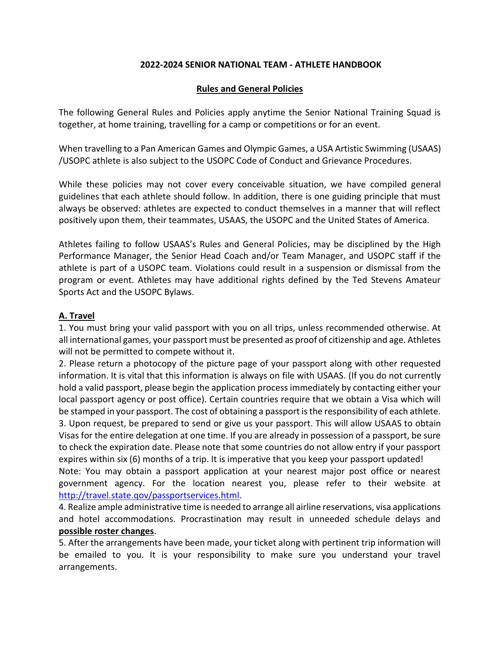#### **2022-2024 SENIOR NATIONAL TEAM - ATHLETE HANDBOOK**

#### **Rules and General Policies**

The following General Rules and Policies apply anytime the Senior National Training Squad is together, at home training, travelling for a camp or competitions or for an event.

When travelling to a Pan American Games and Olympic Games, a USA Artistic Swimming (USAAS) /USOPC athlete is also subject to the USOPC Code of Conduct and Grievance Procedures.

While these policies may not cover every conceivable situation, we have compiled general guidelines that each athlete should follow. In addition, there is one guiding principle that must always be observed: athletes are expected to conduct themselves in a manner that will reflect positively upon them, their teammates, USAAS, the USOPC and the United States of America.

Athletes failing to follow USAAS's Rules and General Policies, may be disciplined by the High Performance Manager, the Senior Head Coach and/or Team Manager, and USOPC staff if the athlete is part of a USOPC team. Violations could result in a suspension or dismissal from the program or event. Athletes may have additional rights defined by the Ted Stevens Amateur Sports Act and the USOPC Bylaws.

### **A. Travel**

1. You must bring your valid passport with you on all trips, unless recommended otherwise. At all international games, your passport must be presented as proof of citizenship and age. Athletes will not be permitted to compete without it.

2. Please return a photocopy of the picture page of your passport along with other requested information. It is vital that this information is always on file with USAAS. (If you do not currently hold a valid passport, please begin the application process immediately by contacting either your local passport agency or post office). Certain countries require that we obtain a Visa which will be stamped in your passport. The cost of obtaining a passport is the responsibility of each athlete. 3. Upon request, be prepared to send or give us your passport. This will allow USAAS to obtain Visas for the entire delegation at one time. If you are already in possession of a passport, be sure to check the expiration date. Please note that some countries do not allow entry if your passport expires within six (6) months of a trip. It is imperative that you keep your passport updated!

Note: You may obtain a passport application at your nearest major post office or nearest government agency. For the location nearest you, please refer to their website at [http://travel.state.qov/passportservices.html.](http://travel.state.qov/passportservices.html)

4. Realize ample administrative time is needed to arrange all airline reservations, visa applications and hotel accommodations. Procrastination may result in unneeded schedule delays and **possible roster changes**.

5. After the arrangements have been made, your ticket along with pertinent trip information will be emailed to you. It is your responsibility to make sure you understand your travel arrangements.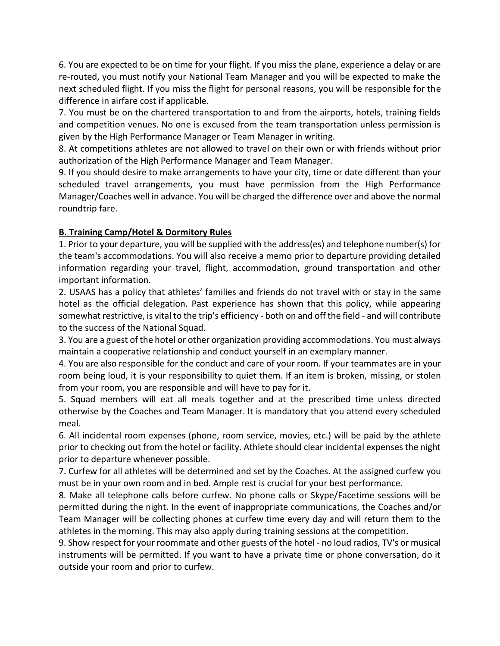6. You are expected to be on time for your flight. If you miss the plane, experience a delay or are re-routed, you must notify your National Team Manager and you will be expected to make the next scheduled flight. If you miss the flight for personal reasons, you will be responsible for the difference in airfare cost if applicable.

7. You must be on the chartered transportation to and from the airports, hotels, training fields and competition venues. No one is excused from the team transportation unless permission is given by the High Performance Manager or Team Manager in writing.

8. At competitions athletes are not allowed to travel on their own or with friends without prior authorization of the High Performance Manager and Team Manager.

9. If you should desire to make arrangements to have your city, time or date different than your scheduled travel arrangements, you must have permission from the High Performance Manager/Coaches well in advance. You will be charged the difference over and above the normal roundtrip fare.

# **B. Training Camp/Hotel & Dormitory Rules**

1. Prior to your departure, you will be supplied with the address(es) and telephone number(s) for the team's accommodations. You will also receive a memo prior to departure providing detailed information regarding your travel, flight, accommodation, ground transportation and other important information.

2. USAAS has a policy that athletes' families and friends do not travel with or stay in the same hotel as the official delegation. Past experience has shown that this policy, while appearing somewhat restrictive, is vital to the trip's efficiency - both on and off the field - and will contribute to the success of the National Squad.

3. You are a guest of the hotel or other organization providing accommodations. You must always maintain a cooperative relationship and conduct yourself in an exemplary manner.

4. You are also responsible for the conduct and care of your room. If your teammates are in your room being loud, it is your responsibility to quiet them. If an item is broken, missing, or stolen from your room, you are responsible and will have to pay for it.

5. Squad members will eat all meals together and at the prescribed time unless directed otherwise by the Coaches and Team Manager. It is mandatory that you attend every scheduled meal.

6. All incidental room expenses (phone, room service, movies, etc.) will be paid by the athlete prior to checking out from the hotel or facility. Athlete should clear incidental expenses the night prior to departure whenever possible.

7. Curfew for all athletes will be determined and set by the Coaches. At the assigned curfew you must be in your own room and in bed. Ample rest is crucial for your best performance.

8. Make all telephone calls before curfew. No phone calls or Skype/Facetime sessions will be permitted during the night. In the event of inappropriate communications, the Coaches and/or Team Manager will be collecting phones at curfew time every day and will return them to the athletes in the morning. This may also apply during training sessions at the competition.

9. Show respect for your roommate and other guests of the hotel - no loud radios, TV's or musical instruments will be permitted. If you want to have a private time or phone conversation, do it outside your room and prior to curfew.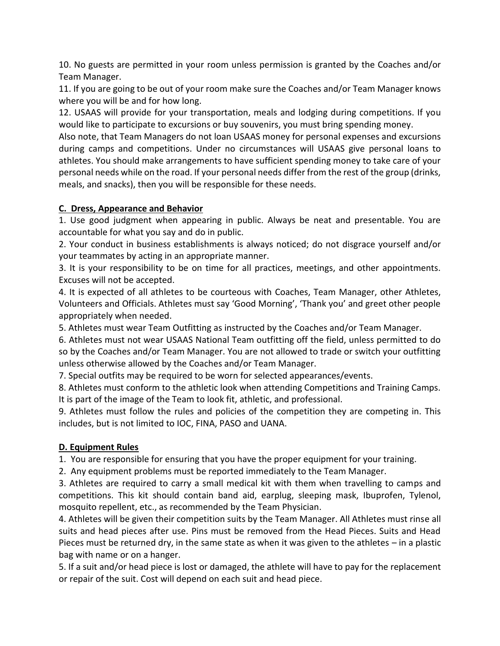10. No guests are permitted in your room unless permission is granted by the Coaches and/or Team Manager.

11. If you are going to be out of your room make sure the Coaches and/or Team Manager knows where you will be and for how long.

12. USAAS will provide for your transportation, meals and lodging during competitions. If you would like to participate to excursions or buy souvenirs, you must bring spending money.

Also note, that Team Managers do not loan USAAS money for personal expenses and excursions during camps and competitions. Under no circumstances will USAAS give personal loans to athletes. You should make arrangements to have sufficient spending money to take care of your personal needs while on the road. If your personal needs differ from the rest of the group (drinks, meals, and snacks), then you will be responsible for these needs.

### **C. Dress, Appearance and Behavior**

1. Use good judgment when appearing in public. Always be neat and presentable. You are accountable for what you say and do in public.

2. Your conduct in business establishments is always noticed; do not disgrace yourself and/or your teammates by acting in an appropriate manner.

3. It is your responsibility to be on time for all practices, meetings, and other appointments. Excuses will not be accepted.

4. It is expected of all athletes to be courteous with Coaches, Team Manager, other Athletes, Volunteers and Officials. Athletes must say 'Good Morning', 'Thank you' and greet other people appropriately when needed.

5. Athletes must wear Team Outfitting as instructed by the Coaches and/or Team Manager.

6. Athletes must not wear USAAS National Team outfitting off the field, unless permitted to do so by the Coaches and/or Team Manager. You are not allowed to trade or switch your outfitting unless otherwise allowed by the Coaches and/or Team Manager.

7. Special outfits may be required to be worn for selected appearances/events.

8. Athletes must conform to the athletic look when attending Competitions and Training Camps. It is part of the image of the Team to look fit, athletic, and professional.

9. Athletes must follow the rules and policies of the competition they are competing in. This includes, but is not limited to IOC, FINA, PASO and UANA.

# **D. Equipment Rules**

1. You are responsible for ensuring that you have the proper equipment for your training.

2. Any equipment problems must be reported immediately to the Team Manager.

3. Athletes are required to carry a small medical kit with them when travelling to camps and competitions. This kit should contain band aid, earplug, sleeping mask, Ibuprofen, Tylenol, mosquito repellent, etc., as recommended by the Team Physician.

4. Athletes will be given their competition suits by the Team Manager. All Athletes must rinse all suits and head pieces after use. Pins must be removed from the Head Pieces. Suits and Head Pieces must be returned dry, in the same state as when it was given to the athletes – in a plastic bag with name or on a hanger.

5. If a suit and/or head piece is lost or damaged, the athlete will have to pay for the replacement or repair of the suit. Cost will depend on each suit and head piece.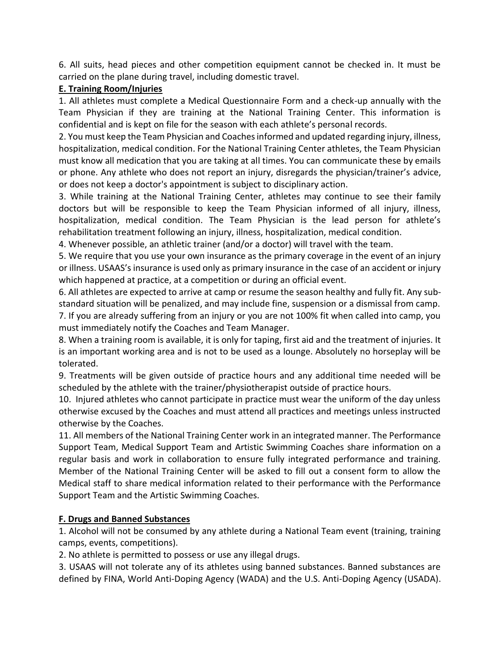6. All suits, head pieces and other competition equipment cannot be checked in. It must be carried on the plane during travel, including domestic travel.

#### **E. Training Room/Injuries**

1. All athletes must complete a Medical Questionnaire Form and a check-up annually with the Team Physician if they are training at the National Training Center. This information is confidential and is kept on file for the season with each athlete's personal records.

2. You must keep the Team Physician and Coaches informed and updated regarding injury, illness, hospitalization, medical condition. For the National Training Center athletes, the Team Physician must know all medication that you are taking at all times. You can communicate these by emails or phone. Any athlete who does not report an injury, disregards the physician/trainer's advice, or does not keep a doctor's appointment is subject to disciplinary action.

3. While training at the National Training Center, athletes may continue to see their family doctors but will be responsible to keep the Team Physician informed of all injury, illness, hospitalization, medical condition. The Team Physician is the lead person for athlete's rehabilitation treatment following an injury, illness, hospitalization, medical condition.

4. Whenever possible, an athletic trainer (and/or a doctor) will travel with the team.

5. We require that you use your own insurance as the primary coverage in the event of an injury or illness. USAAS's insurance is used only as primary insurance in the case of an accident or injury which happened at practice, at a competition or during an official event.

6. All athletes are expected to arrive at camp or resume the season healthy and fully fit. Any substandard situation will be penalized, and may include fine, suspension or a dismissal from camp.

7. If you are already suffering from an injury or you are not 100% fit when called into camp, you must immediately notify the Coaches and Team Manager.

8. When a training room is available, it is only for taping, first aid and the treatment of injuries. It is an important working area and is not to be used as a lounge. Absolutely no horseplay will be tolerated.

9. Treatments will be given outside of practice hours and any additional time needed will be scheduled by the athlete with the trainer/physiotherapist outside of practice hours.

10. Injured athletes who cannot participate in practice must wear the uniform of the day unless otherwise excused by the Coaches and must attend all practices and meetings unless instructed otherwise by the Coaches.

11. All members of the National Training Center work in an integrated manner. The Performance Support Team, Medical Support Team and Artistic Swimming Coaches share information on a regular basis and work in collaboration to ensure fully integrated performance and training. Member of the National Training Center will be asked to fill out a consent form to allow the Medical staff to share medical information related to their performance with the Performance Support Team and the Artistic Swimming Coaches.

### **F. Drugs and Banned Substances**

1. Alcohol will not be consumed by any athlete during a National Team event (training, training camps, events, competitions).

2. No athlete is permitted to possess or use any illegal drugs.

3. USAAS will not tolerate any of its athletes using banned substances. Banned substances are defined by FINA, World Anti-Doping Agency (WADA) and the U.S. Anti-Doping Agency (USADA).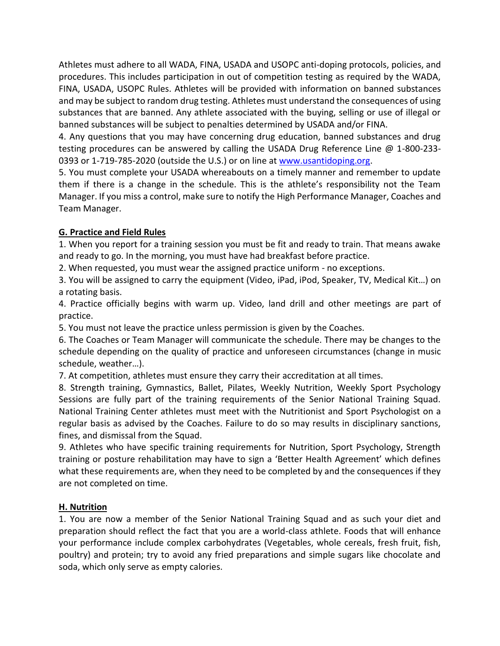Athletes must adhere to all WADA, FINA, USADA and USOPC anti-doping protocols, policies, and procedures. This includes participation in out of competition testing as required by the WADA, FINA, USADA, USOPC Rules. Athletes will be provided with information on banned substances and may be subject to random drug testing. Athletes must understand the consequences of using substances that are banned. Any athlete associated with the buying, selling or use of illegal or banned substances will be subject to penalties determined by USADA and/or FINA.

4. Any questions that you may have concerning drug education, banned substances and drug testing procedures can be answered by calling the USADA Drug Reference Line @ 1-800-233- 0393 or 1-719-785-2020 (outside the U.S.) or on line at [www.usantidoping.org.](http://www.usantidoping.org/)

5. You must complete your USADA whereabouts on a timely manner and remember to update them if there is a change in the schedule. This is the athlete's responsibility not the Team Manager. If you miss a control, make sure to notify the High Performance Manager, Coaches and Team Manager.

## **G. Practice and Field Rules**

1. When you report for a training session you must be fit and ready to train. That means awake and ready to go. In the morning, you must have had breakfast before practice.

2. When requested, you must wear the assigned practice uniform - no exceptions.

3. You will be assigned to carry the equipment (Video, iPad, iPod, Speaker, TV, Medical Kit…) on a rotating basis.

4. Practice officially begins with warm up. Video, land drill and other meetings are part of practice.

5. You must not leave the practice unless permission is given by the Coaches.

6. The Coaches or Team Manager will communicate the schedule. There may be changes to the schedule depending on the quality of practice and unforeseen circumstances (change in music schedule, weather…).

7. At competition, athletes must ensure they carry their accreditation at all times.

8. Strength training, Gymnastics, Ballet, Pilates, Weekly Nutrition, Weekly Sport Psychology Sessions are fully part of the training requirements of the Senior National Training Squad. National Training Center athletes must meet with the Nutritionist and Sport Psychologist on a regular basis as advised by the Coaches. Failure to do so may results in disciplinary sanctions, fines, and dismissal from the Squad.

9. Athletes who have specific training requirements for Nutrition, Sport Psychology, Strength training or posture rehabilitation may have to sign a 'Better Health Agreement' which defines what these requirements are, when they need to be completed by and the consequences if they are not completed on time.

# **H. Nutrition**

1. You are now a member of the Senior National Training Squad and as such your diet and preparation should reflect the fact that you are a world-class athlete. Foods that will enhance your performance include complex carbohydrates (Vegetables, whole cereals, fresh fruit, fish, poultry) and protein; try to avoid any fried preparations and simple sugars like chocolate and soda, which only serve as empty calories.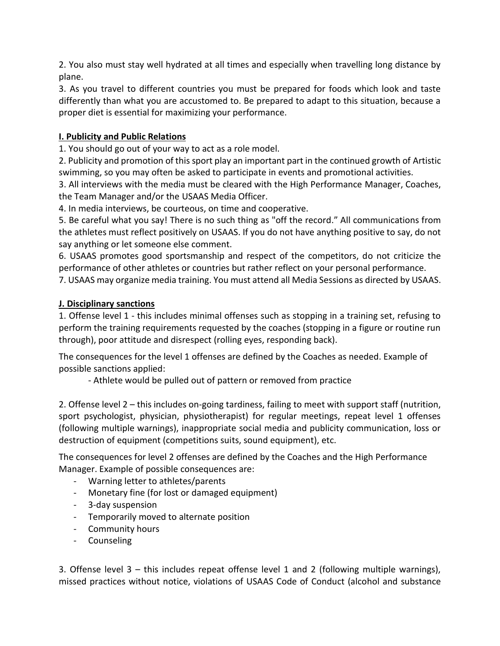2. You also must stay well hydrated at all times and especially when travelling long distance by plane.

3. As you travel to different countries you must be prepared for foods which look and taste differently than what you are accustomed to. Be prepared to adapt to this situation, because a proper diet is essential for maximizing your performance.

## **I. Publicity and Public Relations**

1. You should go out of your way to act as a role model.

2. Publicity and promotion of this sport play an important part in the continued growth of Artistic swimming, so you may often be asked to participate in events and promotional activities.

3. All interviews with the media must be cleared with the High Performance Manager, Coaches, the Team Manager and/or the USAAS Media Officer.

4. In media interviews, be courteous, on time and cooperative.

5. Be careful what you say! There is no such thing as "off the record." All communications from the athletes must reflect positively on USAAS. If you do not have anything positive to say, do not say anything or let someone else comment.

6. USAAS promotes good sportsmanship and respect of the competitors, do not criticize the performance of other athletes or countries but rather reflect on your personal performance.

7. USAAS may organize media training. You must attend all Media Sessions as directed by USAAS.

### **J. Disciplinary sanctions**

1. Offense level 1 - this includes minimal offenses such as stopping in a training set, refusing to perform the training requirements requested by the coaches (stopping in a figure or routine run through), poor attitude and disrespect (rolling eyes, responding back).

The consequences for the level 1 offenses are defined by the Coaches as needed. Example of possible sanctions applied:

- Athlete would be pulled out of pattern or removed from practice

2. Offense level 2 – this includes on-going tardiness, failing to meet with support staff (nutrition, sport psychologist, physician, physiotherapist) for regular meetings, repeat level 1 offenses (following multiple warnings), inappropriate social media and publicity communication, loss or destruction of equipment (competitions suits, sound equipment), etc.

The consequences for level 2 offenses are defined by the Coaches and the High Performance Manager. Example of possible consequences are:

- Warning letter to athletes/parents
- Monetary fine (for lost or damaged equipment)
- 3-day suspension
- Temporarily moved to alternate position
- Community hours
- Counseling

3. Offense level 3 – this includes repeat offense level 1 and 2 (following multiple warnings), missed practices without notice, violations of USAAS Code of Conduct (alcohol and substance